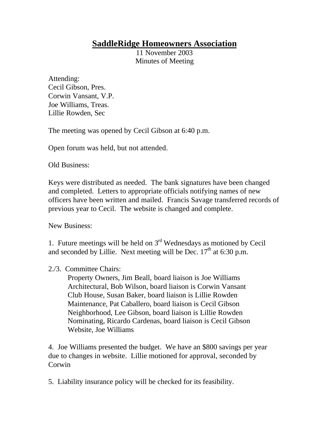## **SaddleRidge Homeowners Association**

11 November 2003 Minutes of Meeting

Attending: Cecil Gibson, Pres. Corwin Vansant, V.P. Joe Williams, Treas. Lillie Rowden, Sec

The meeting was opened by Cecil Gibson at 6:40 p.m.

Open forum was held, but not attended.

Old Business:

Keys were distributed as needed. The bank signatures have been changed and completed. Letters to appropriate officials notifying names of new officers have been written and mailed. Francis Savage transferred records of previous year to Cecil. The website is changed and complete.

New Business:

1. Future meetings will be held on  $3<sup>rd</sup>$  Wednesdays as motioned by Cecil and seconded by Lillie. Next meeting will be Dec.  $17<sup>th</sup>$  at 6:30 p.m.

## 2./3. Committee Chairs:

Property Owners, Jim Beall, board liaison is Joe Williams Architectural, Bob Wilson, board liaison is Corwin Vansant Club House, Susan Baker, board liaison is Lillie Rowden Maintenance, Pat Caballero, board liaison is Cecil Gibson Neighborhood, Lee Gibson, board liaison is Lillie Rowden Nominating, Ricardo Cardenas, board liaison is Cecil Gibson Website, Joe Williams

4. Joe Williams presented the budget. We have an \$800 savings per year due to changes in website. Lillie motioned for approval, seconded by Corwin

5. Liability insurance policy will be checked for its feasibility.